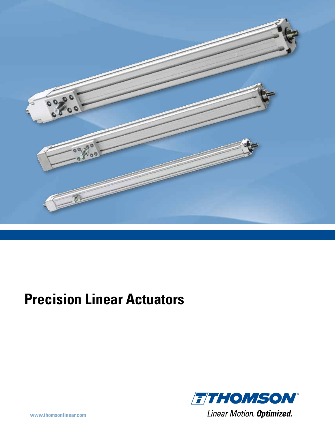

# **Precision Linear Actuators**

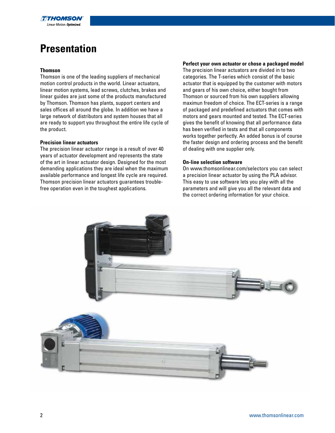

## **Presentation**

#### **Thomson**

Thomson is one of the leading suppliers of mechanical motion control products in the world. Linear actuators, linear motion systems, lead screws, clutches, brakes and linear guides are just some of the products manufactured by Thomson. Thomson has plants, support centers and sales offices all around the globe. In addition we have a large network of distributors and system houses that all are ready to support you throughout the entire life cycle of the product.

#### **Precision linear actuators**

The precision linear actuator range is a result of over 40 years of actuator development and represents the state of the art in linear actuator design. Designed for the most demanding applications they are ideal when the maximum available performance and longest life cycle are required. Thomson precision linear actuators guarantees troublefree operation even in the toughest applications.

#### **Perfect your own actuator or chose a packaged model**

The precision linear actuators are divided in to two categories. The T-series which consist of the basic actuator that is equipped by the customer with motors and gears of his own choice, either bought from Thomson or sourced from his own suppliers allowing maximun freedom of choice. The ECT-series is a range of packaged and predefined actuators that comes with motors and gears mounted and tested. The ECT-series gives the benefit of knowing that all performance data has been verified in tests and that all components works together perfectly. An added bonus is of course the faster design and ordering process and the benefit of dealing with one supplier only.

#### **On-line selection software**

On www.thomsonlinear.com/selectors you can select a precision linear actuator by using the PLA advisor. This easy to use software lets you play with all the parameters and will give you all the relevant data and the correct ordering information for your choice.

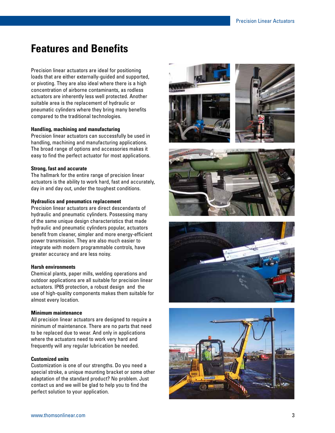### **Features and Benefits**

Precision linear actuators are ideal for positioning loads that are either externally-guided and supported, or pivoting. They are also ideal where there is a high concentration of airborne contaminants, as rodless actuators are inherently less well protected. Another suitable area is the replacement of hydraulic or pneumatic cylinders where they bring many benefits compared to the traditional technologies.

#### **Handling, machining and manufacturing**

Precision linear actuators can successfully be used in handling, machining and manufacturing applications. The broad range of options and accessories makes it easy to find the perfect actuator for most applications.

#### **Strong, fast and accurate**

The hallmark for the entire range of precision linear actuators is the ability to work hard, fast and accurately, day in and day out, under the toughest conditions.

#### **Hydraulics and pneumatics replacement**

Precision linear actuators are direct descendants of hydraulic and pneumatic cylinders. Possessing many of the same unique design characteristics that made hydraulic and pneumatic cylinders popular, actuators benefit from cleaner, simpler and more energy-efficient power transmission. They are also much easier to integrate with modern programmable controls, have greater accuracy and are less noisy.

#### **Harsh environments**

Chemical plants, paper mills, welding operations and outdoor applications are all suitable for precision linear actuators. IP65 protection, a robust design and the use of high-quality components makes them suitable for almost every location.

#### **Minimum maintenance**

All precision linear actuators are designed to require a minimum of maintenance. There are no parts that need to be replaced due to wear. And only in applications where the actuators need to work very hard and frequently will any regular lubrication be needed.

#### **Customized units**

Customization is one of our strengths. Do you need a special stroke, a unique mounting bracket or some other adaptation of the standard product? No problem. Just contact us and we will be glad to help you to find the perfect solution to your application.











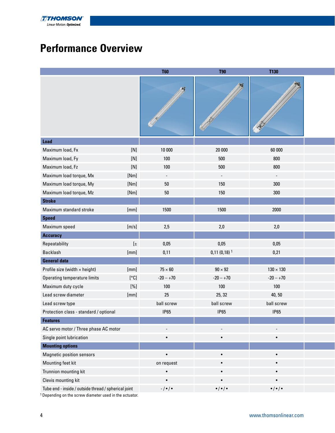

## **Performance Overview**

|                                                      |         | <b>T60</b>               | <b>T90</b>                        | <b>T130</b>               |  |
|------------------------------------------------------|---------|--------------------------|-----------------------------------|---------------------------|--|
|                                                      |         | AK.                      |                                   |                           |  |
| Load                                                 |         |                          |                                   |                           |  |
| Maximum load, Fx                                     | $[N]$   | 10 000                   | 20 000                            | 60 000                    |  |
| Maximum load, Fy                                     | $[N]$   | 100                      | 500                               | 800                       |  |
| Maximum load, Fz                                     | $[N]$   | 100                      | 500                               | 800                       |  |
| Maximum load torque, Mx                              | [Nm]    | $\sim$                   | $\sim$                            | $\sim$                    |  |
| Maximum load torque, My                              | [Nm]    | $50\,$                   | 150                               | 300                       |  |
| Maximum load torque, Mz                              | [Nm]    | $50\,$                   | 150                               | 300                       |  |
| <b>Stroke</b>                                        |         |                          |                                   |                           |  |
| Maximum standard stroke                              | [mm]    | 1500                     | 1500                              | 2000                      |  |
| <b>Speed</b>                                         |         |                          |                                   |                           |  |
| Maximum speed                                        | [m/s]   | 2,5                      | 2,0                               | 2,0                       |  |
| <b>Accuracy</b>                                      |         |                          |                                   |                           |  |
| Repeatability                                        | $[\pm]$ | 0,05                     | 0,05                              | 0,05                      |  |
| Backlash                                             | [mm]    | 0,11                     | $0,11(0,18)$ <sup>1</sup>         | 0,21                      |  |
| <b>General data</b>                                  |         |                          |                                   |                           |  |
| Profile size (width x height)                        | [mm]    | $75 \times 60$           | $90 \times 92$                    | $130\times130$            |  |
| Operating temperature limits                         | [°C]    | $-20 - +70$              | $-20 - +70$                       | $-20 - +70$               |  |
| Maximum duty cycle                                   | $[\%]$  | 100                      | 100                               | 100                       |  |
| Lead screw diameter                                  | [mm]    | 25                       | 25, 32                            | 40, 50                    |  |
| Lead screw type                                      |         | ball screw               | ball screw                        | ball screw                |  |
| Protection class - standard / optional               |         | <b>IP65</b>              | <b>IP65</b>                       | <b>IP65</b>               |  |
| <b>Features</b>                                      |         |                          |                                   |                           |  |
| AC servo motor / Three phase AC motor                |         | $\overline{\phantom{a}}$ | $\overline{\phantom{a}}$          | $\sim$                    |  |
| Single point lubrication                             |         | $\bullet$                | $\bullet$                         | $\bullet$                 |  |
| <b>Mounting options</b>                              |         |                          |                                   |                           |  |
| <b>Magnetic position sensors</b>                     |         | $\bullet$                | $\bullet$                         | $\bullet$                 |  |
| Mounting feet kit                                    |         | on request               | $\bullet$                         | $\bullet$                 |  |
| Trunnion mounting kit                                |         | $\bullet$                | $\bullet$                         | $\bullet$                 |  |
| Clevis mounting kit                                  |         | $\bullet$                | $\bullet$                         | $\bullet$                 |  |
| Tube end - inside / outside thread / spherical joint |         | -/•/•                    | $\bullet$ / $\bullet$ / $\bullet$ | $\bullet/\bullet/\bullet$ |  |

1 Depending on the screw diameter used in the actuator.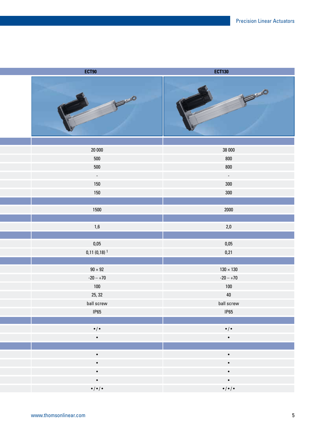| ECT90                     | <b>ECT130</b>             |
|---------------------------|---------------------------|
| 1350                      | 6-1-0                     |
|                           |                           |
| 20 000                    | 38 000                    |
| 500                       | 800                       |
| 500                       | 800                       |
| $\sim$                    | $\sim$ $\sim$             |
| 150                       | 300                       |
| 150                       | 300                       |
|                           |                           |
| 1500                      | 2000                      |
|                           |                           |
| $1,6$                     | $2,0$                     |
|                           |                           |
| $0,\!05$                  | $0,\!05$                  |
| $0,11(0,18)$ <sup>1</sup> | 0,21                      |
|                           |                           |
| $90\times92$              | $130\times130$            |
| $-20 - +70$               | $-20 - +70$               |
| 100                       | 100                       |
| 25, 32                    | 40                        |
| ball screw                | ball screw                |
| IP65                      | IP65                      |
|                           |                           |
| $\bullet/\bullet$         | $\bullet/\bullet$         |
| $\bullet$                 | $\bullet$ .               |
|                           |                           |
| $\bullet$ .               | $\bullet$ .               |
| $\bullet$ .               | $\bullet$ .               |
| $\bullet$ .               | $\bullet$                 |
| $\bullet$                 | $\bullet$ .               |
| $\bullet/\bullet/\bullet$ | $\bullet/\bullet/\bullet$ |
|                           |                           |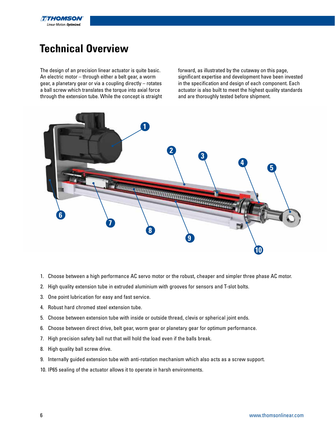

## **Technical Overview**

The design of an precision linear actuator is quite basic. An electric motor – through either a belt gear, a worm gear, a planetary gear or via a coupling directly – rotates a ball screw which translates the torque into axial force through the extension tube. While the concept is straight forward, as illustrated by the cutaway on this page, significant expertise and development have been invested in the specification and design of each component. Each actuator is also built to meet the highest quality standards and are thoroughly tested before shipment.



- 1. Choose between a high performance AC servo motor or the robust, cheaper and simpler three phase AC motor.
- 2. High quality extension tube in extruded aluminium with grooves for sensors and T-slot bolts.
- 3. One point lubrication for easy and fast service.
- 4. Robust hard chromed steel extension tube.
- 5. Choose between extension tube with inside or outside thread, clevis or spherical joint ends.
- 6. Choose between direct drive, belt gear, worm gear or planetary gear for optimum performance.
- 7. High precision safety ball nut that will hold the load even if the balls break.
- 8. High quality ball screw drive.
- 9. Internally guided extension tube with anti-rotation mechanism which also acts as a screw support.
- 10. IP65 sealing of the actuator allows it to operate in harsh environments.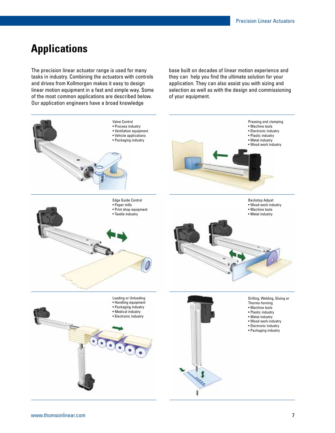## **Applications**

The precision linear actuator range is used for many tasks in industry. Combining the actuators with controls and drives from Kollmorgen makes it easy to design linear motion equipment in a fast and simple way. Some of the most common applications are described below. Our application engineers have a broad knowledge

base built on decades of linear motion experience and they can help you find the ultimate solution for your application. They can also assist you with sizing and selection as well as with the design and commissioning of your equipment.